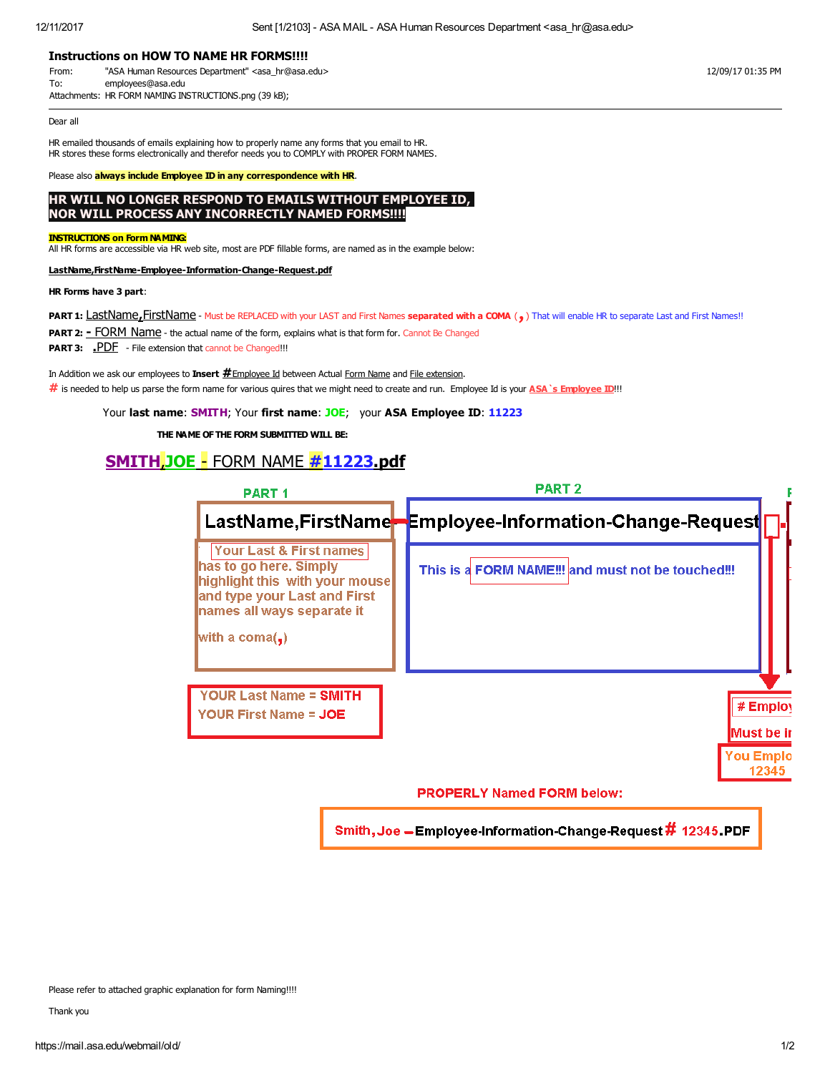### Instructions on HOW TO NAME HR FORMS!!!!

From: "ASA Human Resources Department" <asa\_hr@asa.edu> 12/09/17 01:35 PM To: employees@asa.edu Attachments: HR FORM NAMING INSTRUCTIONS.png (39 kB);

Dear all

HR emailed thousands of emails explaining how to properly name any forms that you email to HR. HR stores these forms electronically and therefor needs you to COMPLY with PROPER FORM NAMES.

Please also **always include Employee ID in any correspondence with HR.** 

## HR WILL NO LONGER RESPOND TO EMAILS WITHOUT EMPLOYEE ID, NOR WILL PROCESS ANY INCORRECTLY NAMED FORMS!!!!

#### INSTRUCTIONS on Form NAMING:

All HR forms are accessible via HR web site, most are PDF fillable forms, are named as in the example below:

#### LastName,FirstName-Employee-Information-Change-Request.pdf

#### HR Forms have 3 part:

PART 1: LastName, FirstName - Must be REPLACED with your LAST and First Names separated with a COMA (,) That will enable HR to separate Last and First Names!!

**PART 2: - FORM Name** - the actual name of the form, explains what is that form for. Cannot Be Changed

**PART 3:** PDF - File extension that cannot be Changed!!!

In Addition we ask our employees to Insert  $\#$  Employee Id between Actual Form Name and File extension.  $\#$  is needed to help us parse the form name for various quires that we might need to create and run. Employee Id is your ASA `s Employee ID!!!

Your last name: SMITH; Your first name: JOE; your ASA Employee ID: 11223

THE NAME OF THE FORM SUBMITTED WILL BE:

# SMITH,JOE - FORM NAME #11223.pdf

| <b>PART1</b>                                                                                                                                                                          | <b>PART 2</b>                                                  |
|---------------------------------------------------------------------------------------------------------------------------------------------------------------------------------------|----------------------------------------------------------------|
|                                                                                                                                                                                       | LastName,FirstName-Employee-Information-Change-Request         |
| <b>Your Last &amp; First names</b><br>has to go here. Simply<br>highlight this with your mouse<br>and type your Last and First<br>names all ways separate it<br>with a coma( $\Box$ ) | This is a FORM NAME!!! and must not be touched!!!              |
| <b>YOUR Last Name = SMITH</b><br>YOUR First Name = JOE                                                                                                                                | # Employ<br>Must be ir                                         |
|                                                                                                                                                                                       | <b>You Emplo</b><br>12345<br><b>PROPERLY Named FORM below:</b> |

Smith, Joe - Employee-Information-Change-Request # 12345 PDF

Please refer to attached graphic explanation for form Naming!!!!